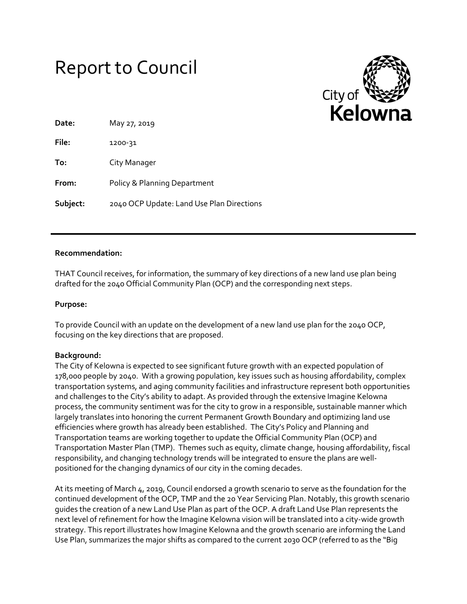# Report to Council



| Date:    | May 27, 2019                              |
|----------|-------------------------------------------|
| File:    | 1200-31                                   |
| To:      | City Manager                              |
| From:    | Policy & Planning Department              |
| Subject: | 2040 OCP Update: Land Use Plan Directions |

## **Recommendation:**

THAT Council receives, for information, the summary of key directions of a new land use plan being drafted for the 2040 Official Community Plan (OCP) and the corresponding next steps.

# **Purpose:**

To provide Council with an update on the development of a new land use plan for the 2040 OCP, focusing on the key directions that are proposed.

# **Background:**

The City of Kelowna is expected to see significant future growth with an expected population of 178,000 people by 2040. With a growing population, key issues such as housing affordability, complex transportation systems, and aging community facilities and infrastructure represent both opportunities and challenges to the City's ability to adapt. As provided through the extensive Imagine Kelowna process, the community sentiment was for the city to grow in a responsible, sustainable manner which largely translates into honoring the current Permanent Growth Boundary and optimizing land use efficiencies where growth has already been established. The City's Policy and Planning and Transportation teams are working together to update the Official Community Plan (OCP) and Transportation Master Plan (TMP). Themes such as equity, climate change, housing affordability, fiscal responsibility, and changing technology trends will be integrated to ensure the plans are wellpositioned for the changing dynamics of our city in the coming decades.

At its meeting of March 4, 2019, Council endorsed a growth scenario to serve as the foundation for the continued development of the OCP, TMP and the 20 Year Servicing Plan. Notably, this growth scenario guides the creation of a new Land Use Plan as part of the OCP. A draft Land Use Plan represents the next level of refinement for how the Imagine Kelowna vision will be translated into a city-wide growth strategy. This report illustrates how Imagine Kelowna and the growth scenario are informing the Land Use Plan, summarizes the major shifts as compared to the current 2030 OCP (referred to as the "Big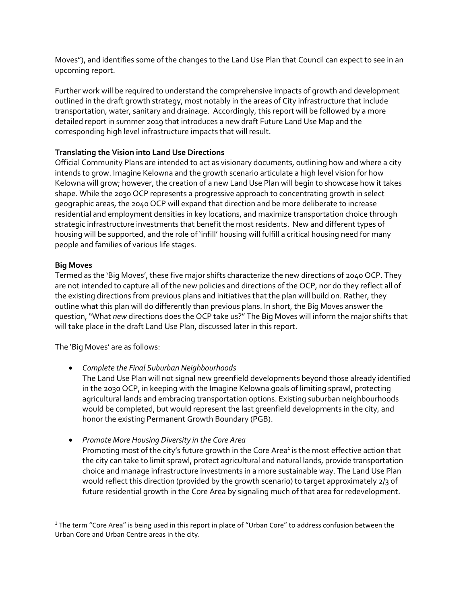Moves"), and identifies some of the changes to the Land Use Plan that Council can expect to see in an upcoming report.

Further work will be required to understand the comprehensive impacts of growth and development outlined in the draft growth strategy, most notably in the areas of City infrastructure that include transportation, water, sanitary and drainage. Accordingly, this report will be followed by a more detailed report in summer 2019 that introduces a new draft Future Land Use Map and the corresponding high level infrastructure impacts that will result.

# **Translating the Vision into Land Use Directions**

Official Community Plans are intended to act as visionary documents, outlining how and where a city intends to grow. Imagine Kelowna and the growth scenario articulate a high level vision for how Kelowna will grow; however, the creation of a new Land Use Plan will begin to showcase how it takes shape. While the 2030 OCP represents a progressive approach to concentrating growth in select geographic areas, the 2040 OCP will expand that direction and be more deliberate to increase residential and employment densities in key locations, and maximize transportation choice through strategic infrastructure investments that benefit the most residents. New and different types of housing will be supported, and the role of 'infill' housing will fulfill a critical housing need for many people and families of various life stages.

# **Big Moves**

 $\overline{\phantom{a}}$ 

Termed as the 'Big Moves', these five major shifts characterize the new directions of 2040 OCP. They are not intended to capture all of the new policies and directions of the OCP, nor do they reflect all of the existing directions from previous plans and initiatives that the plan will build on. Rather, they outline what this plan will do differently than previous plans. In short, the Big Moves answer the question, "What *new* directions does the OCP take us?" The Big Moves will inform the major shifts that will take place in the draft Land Use Plan, discussed later in this report.

The 'Big Moves' are as follows:

- *Complete the Final Suburban Neighbourhoods*
	- The Land Use Plan will not signal new greenfield developments beyond those already identified in the 2030 OCP, in keeping with the Imagine Kelowna goals of limiting sprawl, protecting agricultural lands and embracing transportation options. Existing suburban neighbourhoods would be completed, but would represent the last greenfield developments in the city, and honor the existing Permanent Growth Boundary (PGB).
- *Promote More Housing Diversity in the Core Area*

Promoting most of the city's future growth in the Core Area<sup>1</sup> is the most effective action that the city can take to limit sprawl, protect agricultural and natural lands, provide transportation choice and manage infrastructure investments in a more sustainable way. The Land Use Plan would reflect this direction (provided by the growth scenario) to target approximately 2/3 of future residential growth in the Core Area by signaling much of that area for redevelopment.

 $1$  The term "Core Area" is being used in this report in place of "Urban Core" to address confusion between the Urban Core and Urban Centre areas in the city.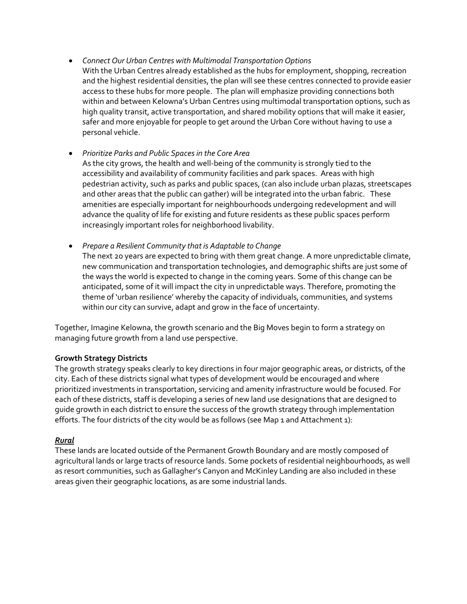*Connect Our Urban Centres with Multimodal Transportation Options* With the Urban Centres already established as the hubs for employment, shopping, recreation and the highest residential densities, the plan will see these centres connected to provide easier access to these hubs for more people. The plan will emphasize providing connections both within and between Kelowna's Urban Centres using multimodal transportation options, such as high quality transit, active transportation, and shared mobility options that will make it easier, safer and more enjoyable for people to get around the Urban Core without having to use a personal vehicle.

# *Prioritize Parks and Public Spaces in the Core Area*

- As the city grows, the health and well-being of the community is strongly tied to the accessibility and availability of community facilities and park spaces. Areas with high pedestrian activity, such as parks and public spaces, (can also include urban plazas, streetscapes and other areas that the public can gather) will be integrated into the urban fabric. These amenities are especially important for neighbourhoods undergoing redevelopment and will advance the quality of life for existing and future residents as these public spaces perform increasingly important roles for neighborhood livability.
- *Prepare a Resilient Community that is Adaptable to Change* The next 20 years are expected to bring with them great change. A more unpredictable climate, new communication and transportation technologies, and demographic shifts are just some of the ways the world is expected to change in the coming years. Some of this change can be anticipated, some of it will impact the city in unpredictable ways. Therefore, promoting the theme of 'urban resilience' whereby the capacity of individuals, communities, and systems

Together, Imagine Kelowna, the growth scenario and the Big Moves begin to form a strategy on managing future growth from a land use perspective.

within our city can survive, adapt and grow in the face of uncertainty.

#### **Growth Strategy Districts**

The growth strategy speaks clearly to key directions in four major geographic areas, or districts, of the city. Each of these districts signal what types of development would be encouraged and where prioritized investments in transportation, servicing and amenity infrastructure would be focused. For each of these districts, staff is developing a series of new land use designations that are designed to guide growth in each district to ensure the success of the growth strategy through implementation efforts. The four districts of the city would be as follows (see Map 1 and Attachment 1):

#### *Rural*

These lands are located outside of the Permanent Growth Boundary and are mostly composed of agricultural lands or large tracts of resource lands. Some pockets of residential neighbourhoods, as well as resort communities, such as Gallagher's Canyon and McKinley Landing are also included in these areas given their geographic locations, as are some industrial lands.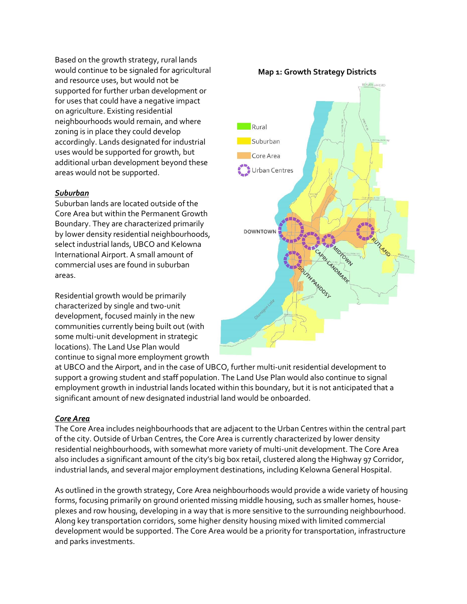Based on the growth strategy, rural lands would continue to be signaled for agricultural and resource uses, but would not be supported for further urban development or for uses that could have a negative impact on agriculture. Existing residential neighbourhoods would remain, and where zoning is in place they could develop accordingly. Lands designated for industrial uses would be supported for growth, but additional urban development beyond these areas would not be supported.

#### *Suburban*

Suburban lands are located outside of the Core Area but within the Permanent Growth Boundary. They are characterized primarily by lower density residential neighbourhoods, select industrial lands, UBCO and Kelowna International Airport. A small amount of commercial uses are found in suburban areas.

Residential growth would be primarily characterized by single and two-unit development, focused mainly in the new communities currently being built out (with some multi-unit development in strategic locations). The Land Use Plan would continue to signal more employment growth

at UBCO and the Airport, and in the case of UBCO, further multi-unit residential development to support a growing student and staff population. The Land Use Plan would also continue to signal employment growth in industrial lands located within this boundary, but it is not anticipated that a significant amount of new designated industrial land would be onboarded.

#### *Core Area*

The Core Area includes neighbourhoods that are adjacent to the Urban Centres within the central part of the city. Outside of Urban Centres, the Core Area is currently characterized by lower density residential neighbourhoods, with somewhat more variety of multi-unit development. The Core Area also includes a significant amount of the city's big box retail, clustered along the Highway 97 Corridor, industrial lands, and several major employment destinations, including Kelowna General Hospital.

As outlined in the growth strategy, Core Area neighbourhoods would provide a wide variety of housing forms, focusing primarily on ground oriented missing middle housing, such as smaller homes, houseplexes and row housing, developing in a way that is more sensitive to the surrounding neighbourhood. Along key transportation corridors, some higher density housing mixed with limited commercial development would be supported. The Core Area would be a priority for transportation, infrastructure and parks investments.



#### **Map 1: Growth Strategy Districts**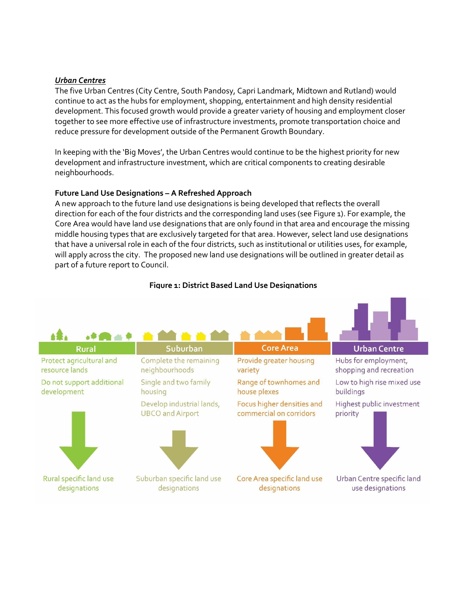#### *Urban Centres*

The five Urban Centres (City Centre, South Pandosy, Capri Landmark, Midtown and Rutland) would continue to act as the hubs for employment, shopping, entertainment and high density residential development. This focused growth would provide a greater variety of housing and employment closer together to see more effective use of infrastructure investments, promote transportation choice and reduce pressure for development outside of the Permanent Growth Boundary.

In keeping with the 'Big Moves', the Urban Centres would continue to be the highest priority for new development and infrastructure investment, which are critical components to creating desirable neighbourhoods.

## **Future Land Use Designations – A Refreshed Approach**

A new approach to the future land use designations is being developed that reflects the overall direction for each of the four districts and the corresponding land uses (see Figure 1). For example, the Core Area would have land use designations that are only found in that area and encourage the missing middle housing types that are exclusively targeted for that area. However, select land use designations that have a universal role in each of the four districts, such as institutional or utilities uses, for example, will apply across the city. The proposed new land use designations will be outlined in greater detail as part of a future report to Council.



# **Figure 1: District Based Land Use Designations**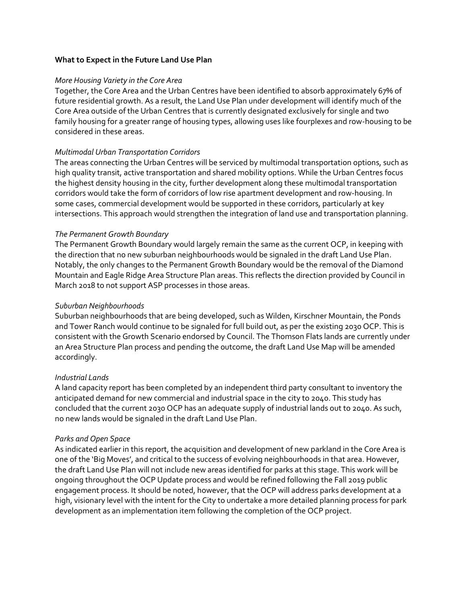#### **What to Expect in the Future Land Use Plan**

#### *More Housing Variety in the Core Area*

Together, the Core Area and the Urban Centres have been identified to absorb approximately 67% of future residential growth. As a result, the Land Use Plan under development will identify much of the Core Area outside of the Urban Centres that is currently designated exclusively for single and two family housing for a greater range of housing types, allowing uses like fourplexes and row-housing to be considered in these areas.

#### *Multimodal Urban Transportation Corridors*

The areas connecting the Urban Centres will be serviced by multimodal transportation options, such as high quality transit, active transportation and shared mobility options. While the Urban Centres focus the highest density housing in the city, further development along these multimodal transportation corridors would take the form of corridors of low rise apartment development and row-housing. In some cases, commercial development would be supported in these corridors, particularly at key intersections. This approach would strengthen the integration of land use and transportation planning.

## *The Permanent Growth Boundary*

The Permanent Growth Boundary would largely remain the same as the current OCP, in keeping with the direction that no new suburban neighbourhoods would be signaled in the draft Land Use Plan. Notably, the only changes to the Permanent Growth Boundary would be the removal of the Diamond Mountain and Eagle Ridge Area Structure Plan areas. This reflects the direction provided by Council in March 2018 to not support ASP processes in those areas.

#### *Suburban Neighbourhoods*

Suburban neighbourhoods that are being developed, such as Wilden, Kirschner Mountain, the Ponds and Tower Ranch would continue to be signaled for full build out, as per the existing 2030 OCP. This is consistent with the Growth Scenario endorsed by Council. The Thomson Flats lands are currently under an Area Structure Plan process and pending the outcome, the draft Land Use Map will be amended accordingly.

# *Industrial Lands*

A land capacity report has been completed by an independent third party consultant to inventory the anticipated demand for new commercial and industrial space in the city to 2040. This study has concluded that the current 2030 OCP has an adequate supply of industrial lands out to 2040. As such, no new lands would be signaled in the draft Land Use Plan.

# *Parks and Open Space*

As indicated earlier in this report, the acquisition and development of new parkland in the Core Area is one of the 'Big Moves', and critical to the success of evolving neighbourhoods in that area. However, the draft Land Use Plan will not include new areas identified for parks at this stage. This work will be ongoing throughout the OCP Update process and would be refined following the Fall 2019 public engagement process. It should be noted, however, that the OCP will address parks development at a high, visionary level with the intent for the City to undertake a more detailed planning process for park development as an implementation item following the completion of the OCP project.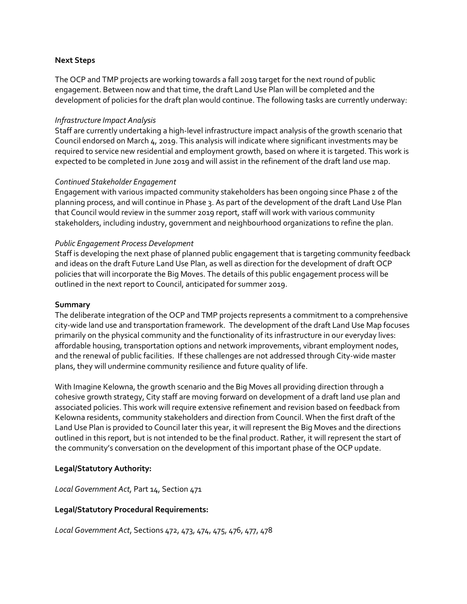#### **Next Steps**

The OCP and TMP projects are working towards a fall 2019 target for the next round of public engagement. Between now and that time, the draft Land Use Plan will be completed and the development of policies for the draft plan would continue. The following tasks are currently underway:

#### *Infrastructure Impact Analysis*

Staff are currently undertaking a high-level infrastructure impact analysis of the growth scenario that Council endorsed on March 4, 2019. This analysis will indicate where significant investments may be required to service new residential and employment growth, based on where it is targeted. This work is expected to be completed in June 2019 and will assist in the refinement of the draft land use map.

#### *Continued Stakeholder Engagement*

Engagement with various impacted community stakeholders has been ongoing since Phase 2 of the planning process, and will continue in Phase 3. As part of the development of the draft Land Use Plan that Council would review in the summer 2019 report, staff will work with various community stakeholders, including industry, government and neighbourhood organizations to refine the plan.

#### *Public Engagement Process Development*

Staff is developing the next phase of planned public engagement that is targeting community feedback and ideas on the draft Future Land Use Plan, as well as direction for the development of draft OCP policies that will incorporate the Big Moves. The details of this public engagement process will be outlined in the next report to Council, anticipated for summer 2019.

#### **Summary**

The deliberate integration of the OCP and TMP projects represents a commitment to a comprehensive city-wide land use and transportation framework. The development of the draft Land Use Map focuses primarily on the physical community and the functionality of its infrastructure in our everyday lives: affordable housing, transportation options and network improvements, vibrant employment nodes, and the renewal of public facilities. If these challenges are not addressed through City-wide master plans, they will undermine community resilience and future quality of life.

With Imagine Kelowna, the growth scenario and the Big Moves all providing direction through a cohesive growth strategy, City staff are moving forward on development of a draft land use plan and associated policies. This work will require extensive refinement and revision based on feedback from Kelowna residents, community stakeholders and direction from Council. When the first draft of the Land Use Plan is provided to Council later this year, it will represent the Big Moves and the directions outlined in this report, but is not intended to be the final product. Rather, it will represent the start of the community's conversation on the development of this important phase of the OCP update.

#### **Legal/Statutory Authority:**

*Local Government Act,* Part 14, Section 471

#### **Legal/Statutory Procedural Requirements:**

*Local Government Act*, Sections 472, 473, 474, 475, 476, 477, 478